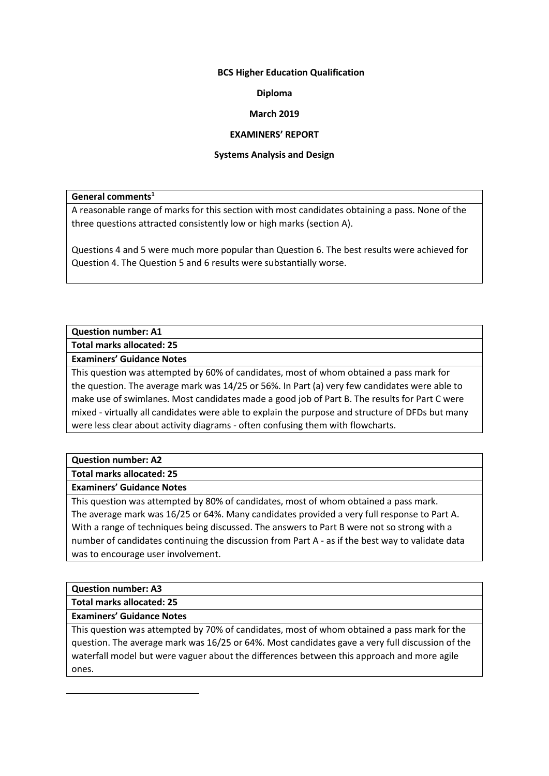## **BCS Higher Education Qualification**

## **Diploma**

## **March 2019**

#### **EXAMINERS' REPORT**

#### **Systems Analysis and Design**

#### **General comments<sup>1</sup>**

A reasonable range of marks for this section with most candidates obtaining a pass. None of the three questions attracted consistently low or high marks (section A).

Questions 4 and 5 were much more popular than Question 6. The best results were achieved for Question 4. The Question 5 and 6 results were substantially worse.

# **Question number: A1**

**Total marks allocated: 25**

### **Examiners' Guidance Notes**

This question was attempted by 60% of candidates, most of whom obtained a pass mark for the question. The average mark was 14/25 or 56%. In Part (a) very few candidates were able to make use of swimlanes. Most candidates made a good job of Part B. The results for Part C were mixed - virtually all candidates were able to explain the purpose and structure of DFDs but many were less clear about activity diagrams - often confusing them with flowcharts.

# **Question number: A2**

**Total marks allocated: 25**

# **Examiners' Guidance Notes**

This question was attempted by 80% of candidates, most of whom obtained a pass mark. The average mark was 16/25 or 64%. Many candidates provided a very full response to Part A. With a range of techniques being discussed. The answers to Part B were not so strong with a number of candidates continuing the discussion from Part A - as if the best way to validate data was to encourage user involvement.

# **Question number: A3**

**Total marks allocated: 25**

# **Examiners' Guidance Notes**

This question was attempted by 70% of candidates, most of whom obtained a pass mark for the question. The average mark was 16/25 or 64%. Most candidates gave a very full discussion of the waterfall model but were vaguer about the differences between this approach and more agile ones.